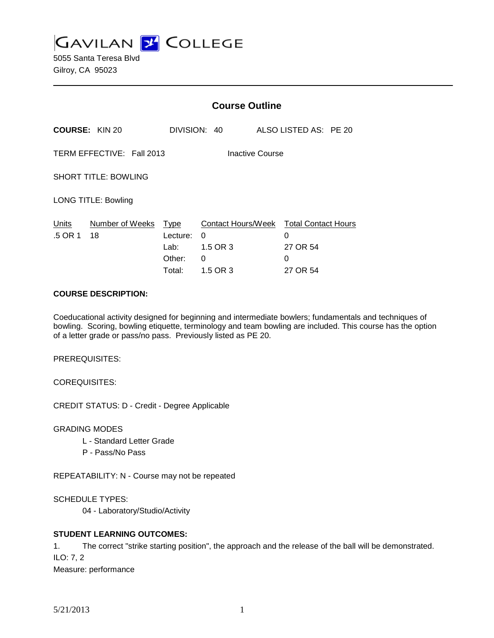**GAVILAN 2 COLLEGE** 

5055 Santa Teresa Blvd Gilroy, CA 95023

|                                                     |                       | <b>Course Outline</b>                               |                                                      |                                                              |  |
|-----------------------------------------------------|-----------------------|-----------------------------------------------------|------------------------------------------------------|--------------------------------------------------------------|--|
|                                                     | <b>COURSE: KIN 20</b> |                                                     | DIVISION: 40                                         | ALSO LISTED AS: PE 20                                        |  |
| TERM EFFECTIVE: Fall 2013<br><b>Inactive Course</b> |                       |                                                     |                                                      |                                                              |  |
| <b>SHORT TITLE: BOWLING</b>                         |                       |                                                     |                                                      |                                                              |  |
| <b>LONG TITLE: Bowling</b>                          |                       |                                                     |                                                      |                                                              |  |
| Units<br>.5 OR 1                                    | Number of Weeks<br>18 | <u>Type</u><br>Lecture:<br>Lab:<br>Other:<br>Total: | Contact Hours/Week<br>0<br>1.5 OR 3<br>0<br>1.5 OR 3 | <b>Total Contact Hours</b><br>0<br>27 OR 54<br>0<br>27 OR 54 |  |

#### **COURSE DESCRIPTION:**

Coeducational activity designed for beginning and intermediate bowlers; fundamentals and techniques of bowling. Scoring, bowling etiquette, terminology and team bowling are included. This course has the option of a letter grade or pass/no pass. Previously listed as PE 20.

PREREQUISITES:

COREQUISITES:

CREDIT STATUS: D - Credit - Degree Applicable

GRADING MODES

- L Standard Letter Grade
- P Pass/No Pass

REPEATABILITY: N - Course may not be repeated

SCHEDULE TYPES:

04 - Laboratory/Studio/Activity

# **STUDENT LEARNING OUTCOMES:**

1. The correct "strike starting position", the approach and the release of the ball will be demonstrated. ILO: 7, 2 Measure: performance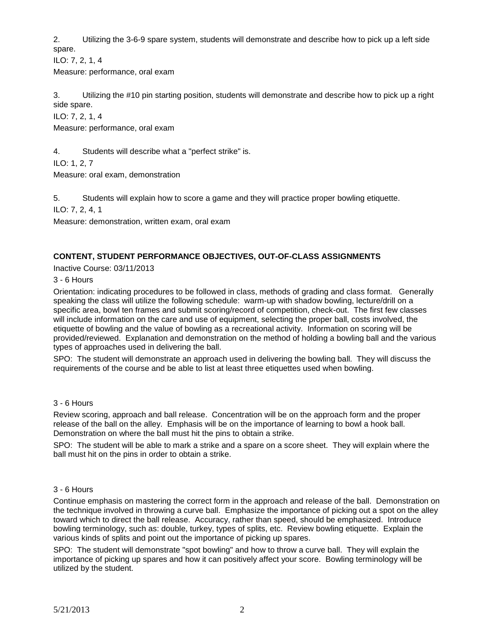2. Utilizing the 3-6-9 spare system, students will demonstrate and describe how to pick up a left side spare.

ILO: 7, 2, 1, 4

Measure: performance, oral exam

3. Utilizing the #10 pin starting position, students will demonstrate and describe how to pick up a right side spare.

ILO: 7, 2, 1, 4

Measure: performance, oral exam

4. Students will describe what a "perfect strike" is.

ILO: 1, 2, 7

Measure: oral exam, demonstration

5. Students will explain how to score a game and they will practice proper bowling etiquette.

ILO: 7, 2, 4, 1

Measure: demonstration, written exam, oral exam

# **CONTENT, STUDENT PERFORMANCE OBJECTIVES, OUT-OF-CLASS ASSIGNMENTS**

Inactive Course: 03/11/2013

# 3 - 6 Hours

Orientation: indicating procedures to be followed in class, methods of grading and class format. Generally speaking the class will utilize the following schedule: warm-up with shadow bowling, lecture/drill on a specific area, bowl ten frames and submit scoring/record of competition, check-out. The first few classes will include information on the care and use of equipment, selecting the proper ball, costs involved, the etiquette of bowling and the value of bowling as a recreational activity. Information on scoring will be provided/reviewed. Explanation and demonstration on the method of holding a bowling ball and the various types of approaches used in delivering the ball.

SPO: The student will demonstrate an approach used in delivering the bowling ball. They will discuss the requirements of the course and be able to list at least three etiquettes used when bowling.

#### 3 - 6 Hours

Review scoring, approach and ball release. Concentration will be on the approach form and the proper release of the ball on the alley. Emphasis will be on the importance of learning to bowl a hook ball. Demonstration on where the ball must hit the pins to obtain a strike.

SPO: The student will be able to mark a strike and a spare on a score sheet. They will explain where the ball must hit on the pins in order to obtain a strike.

#### 3 - 6 Hours

Continue emphasis on mastering the correct form in the approach and release of the ball. Demonstration on the technique involved in throwing a curve ball. Emphasize the importance of picking out a spot on the alley toward which to direct the ball release. Accuracy, rather than speed, should be emphasized. Introduce bowling terminology, such as: double, turkey, types of splits, etc. Review bowling etiquette. Explain the various kinds of splits and point out the importance of picking up spares.

SPO: The student will demonstrate "spot bowling" and how to throw a curve ball. They will explain the importance of picking up spares and how it can positively affect your score. Bowling terminology will be utilized by the student.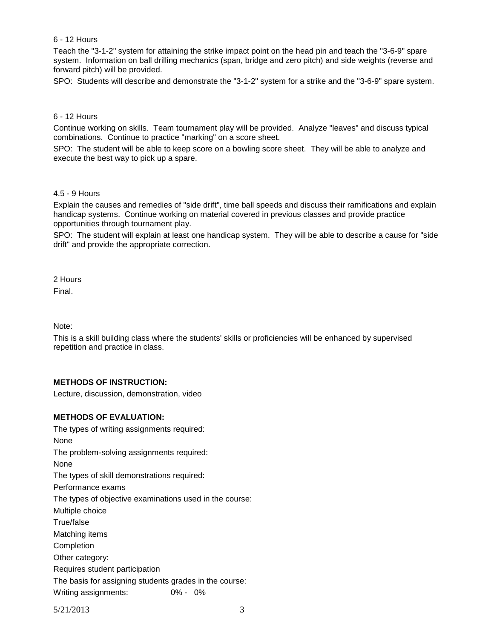#### 6 - 12 Hours

Teach the "3-1-2" system for attaining the strike impact point on the head pin and teach the "3-6-9" spare system. Information on ball drilling mechanics (span, bridge and zero pitch) and side weights (reverse and forward pitch) will be provided.

SPO: Students will describe and demonstrate the "3-1-2" system for a strike and the "3-6-9" spare system.

# 6 - 12 Hours

Continue working on skills. Team tournament play will be provided. Analyze "leaves" and discuss typical combinations. Continue to practice "marking" on a score sheet.

SPO: The student will be able to keep score on a bowling score sheet. They will be able to analyze and execute the best way to pick up a spare.

#### 4.5 - 9 Hours

Explain the causes and remedies of "side drift", time ball speeds and discuss their ramifications and explain handicap systems. Continue working on material covered in previous classes and provide practice opportunities through tournament play.

SPO: The student will explain at least one handicap system. They will be able to describe a cause for "side drift" and provide the appropriate correction.

2 Hours

Final.

Note:

This is a skill building class where the students' skills or proficiencies will be enhanced by supervised repetition and practice in class.

# **METHODS OF INSTRUCTION:**

Lecture, discussion, demonstration, video

#### **METHODS OF EVALUATION:**

The types of writing assignments required: None The problem-solving assignments required: None The types of skill demonstrations required: Performance exams The types of objective examinations used in the course: Multiple choice True/false Matching items Completion Other category: Requires student participation The basis for assigning students grades in the course: Writing assignments: 0% - 0%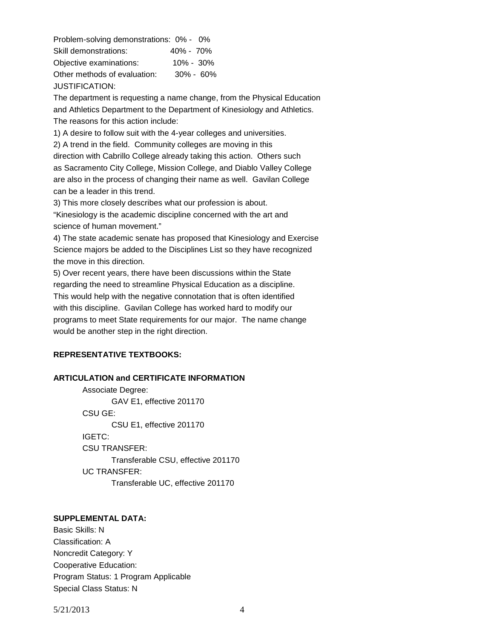Problem-solving demonstrations: 0% - 0% Skill demonstrations: 40% - 70% Objective examinations: 10% - 30% Other methods of evaluation: 30% - 60% JUSTIFICATION:

The department is requesting a name change, from the Physical Education and Athletics Department to the Department of Kinesiology and Athletics. The reasons for this action include:

1) A desire to follow suit with the 4-year colleges and universities.

2) A trend in the field. Community colleges are moving in this direction with Cabrillo College already taking this action. Others such as Sacramento City College, Mission College, and Diablo Valley College are also in the process of changing their name as well. Gavilan College can be a leader in this trend.

3) This more closely describes what our profession is about.

"Kinesiology is the academic discipline concerned with the art and science of human movement."

4) The state academic senate has proposed that Kinesiology and Exercise Science majors be added to the Disciplines List so they have recognized the move in this direction.

5) Over recent years, there have been discussions within the State regarding the need to streamline Physical Education as a discipline. This would help with the negative connotation that is often identified with this discipline. Gavilan College has worked hard to modify our programs to meet State requirements for our major. The name change would be another step in the right direction.

# **REPRESENTATIVE TEXTBOOKS:**

# **ARTICULATION and CERTIFICATE INFORMATION**

Associate Degree: GAV E1, effective 201170 CSU GE: CSU E1, effective 201170 IGETC: CSU TRANSFER: Transferable CSU, effective 201170 UC TRANSFER: Transferable UC, effective 201170

# **SUPPLEMENTAL DATA:**

Basic Skills: N Classification: A Noncredit Category: Y Cooperative Education: Program Status: 1 Program Applicable Special Class Status: N

5/21/2013 4